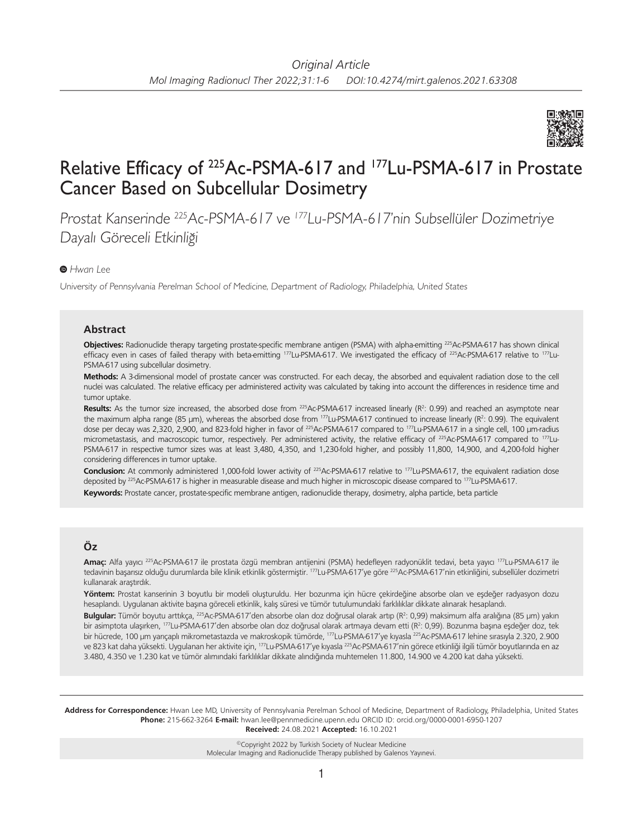

# Relative Efficacy of 225Ac-PSMA-617 and 177Lu-PSMA-617 in Prostate Cancer Based on Subcellular Dosimetry

Prostat Kanserinde <sup>225</sup>Ac-PSMA-617 ve <sup>177</sup>Lu-PSMA-617'nin Subsellüler Dozimetriye Dayalı Göreceli Etkinliği

## *Hwan Lee*

University of Pennsylvania Perelman School of Medicine, Department of Radiology, Philadelphia, United States

#### **Abstract**

Objectives: Radionuclide therapy targeting prostate-specific membrane antigen (PSMA) with alpha-emitting <sup>225</sup>Ac-PSMA-617 has shown clinical efficacy even in cases of failed therapy with beta-emitting 177Lu-PSMA-617. We investigated the efficacy of <sup>225</sup>Ac-PSMA-617 relative to 177Lu-PSMA-617 using subcellular dosimetry.

**Methods:** A 3-dimensional model of prostate cancer was constructed. For each decay, the absorbed and equivalent radiation dose to the cell nuclei was calculated. The relative efficacy per administered activity was calculated by taking into account the differences in residence time and tumor uptake.

Results: As the tumor size increased, the absorbed dose from <sup>225</sup>Ac-PSMA-617 increased linearly (R<sup>2</sup>: 0.99) and reached an asymptote near the maximum alpha range (85  $\mu$ m), whereas the absorbed dose from  $^{177}$ Lu-PSMA-617 continued to increase linearly ( $R^2$ : 0.99). The equivalent dose per decay was 2,320, 2,900, and 823-fold higher in favor of <sup>225</sup>Ac-PSMA-617 compared to <sup>177</sup>Lu-PSMA-617 in a single cell, 100 µm-radius micrometastasis, and macroscopic tumor, respectively. Per administered activity, the relative efficacy of <sup>225</sup>Ac-PSMA-617 compared to <sup>177</sup>Lu-PSMA-617 in respective tumor sizes was at least 3,480, 4,350, and 1,230-fold higher, and possibly 11,800, 14,900, and 4,200-fold higher considering differences in tumor uptake.

Conclusion: At commonly administered 1,000-fold lower activity of <sup>225</sup>Ac-PSMA-617 relative to <sup>177</sup>Lu-PSMA-617, the equivalent radiation dose deposited by <sup>225</sup>Ac-PSMA-617 is higher in measurable disease and much higher in microscopic disease compared to <sup>177</sup>Lu-PSMA-617. **Keywords:** Prostate cancer, prostate-specific membrane antigen, radionuclide therapy, dosimetry, alpha particle, beta particle

## **Öz**

**Amaç:** Alfa yayıcı 225Ac-PSMA-617 ile prostata özgü membran antijenini (PSMA) hedefleyen radyonüklit tedavi, beta yayıcı 177Lu-PSMA-617 ile tedavinin başarısız olduğu durumlarda bile klinik etkinlik göstermiştir. 177Lu-PSMA-617'ye göre 225Ac-PSMA-617'nin etkinliğini, subsellüler dozimetri kullanarak araştırdık.

**Yöntem:** Prostat kanserinin 3 boyutlu bir modeli oluşturuldu. Her bozunma için hücre çekirdeğine absorbe olan ve eşdeğer radyasyon dozu hesaplandı. Uygulanan aktivite başına göreceli etkinlik, kalış süresi ve tümör tutulumundaki farklılıklar dikkate alınarak hesaplandı.

**Bulgular:** Tümör boyutu arttıkça, 225Ac-PSMA-617'den absorbe olan doz doğrusal olarak artıp (R<sup>2</sup> : 0,99) maksimum alfa aralığına (85 µm) yakın bir asimptota ulaşırken, <sup>177</sup>Lu-PSMA-617'den absorbe olan doz doğrusal olarak artmaya devam etti (R<sup>2</sup>: 0,99). Bozunma başına eşdeğer doz, tek bir hücrede, 100 µm yarıçaplı mikrometastazda ve makroskopik tümörde, <sup>177</sup>Lu-PSMA-617'ye kıyasla <sup>225</sup>Ac-PSMA-617 lehine sırasıyla 2.320, 2.900 ve 823 kat daha yüksekti. Uygulanan her aktivite için, 177Lu-PSMA-617'ye kıyasla 225Ac-PSMA-617'nin görece etkinliği ilgili tümör boyutlarında en az 3.480, 4.350 ve 1.230 kat ve tümör alımındaki farklılıklar dikkate alındığında muhtemelen 11.800, 14.900 ve 4.200 kat daha yüksekti.

**Address for Correspondence:** Hwan Lee MD, University of Pennsylvania Perelman School of Medicine, Department of Radiology, Philadelphia, United States **Phone:** 215-662-3264 **E-mail:** hwan.lee@pennmedicine.upenn.edu ORCID ID: orcid.org/0000-0001-6950-1207 **Received:** 24.08.2021 **Accepted:** 16.10.2021

> ©Copyright 2022 by Turkish Society of Nuclear Medicine Molecular Imaging and Radionuclide Therapy published by Galenos Yayınevi.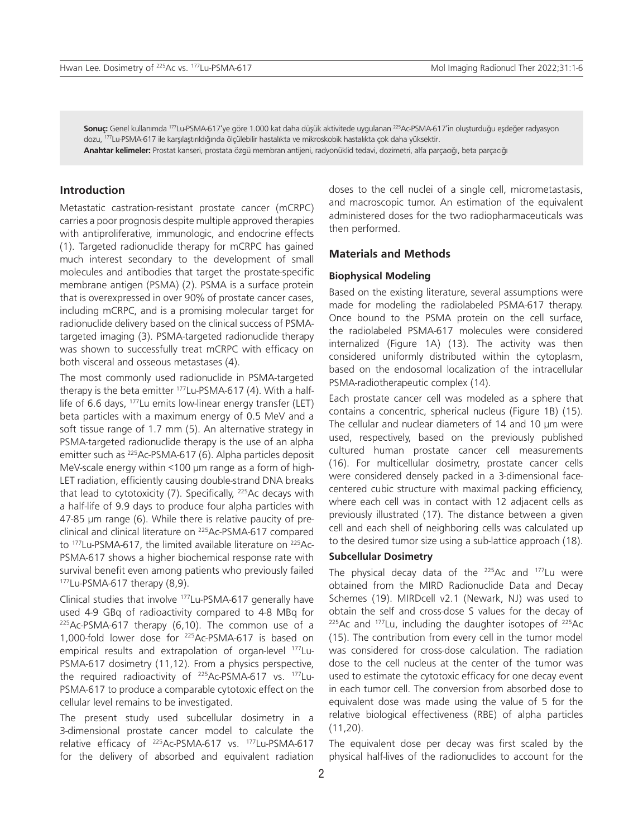**Sonuç:** Genel kullanımda 177Lu-PSMA-617'ye göre 1.000 kat daha düşük aktivitede uygulanan 225Ac-PSMA-617'in oluşturduğu eşdeğer radyasyon dozu, 177Lu-PSMA-617 ile karşılaştırıldığında ölçülebilir hastalıkta ve mikroskobik hastalıkta çok daha yüksektir.

**Anahtar kelimeler:** Prostat kanseri, prostata özgü membran antijeni, radyonüklid tedavi, dozimetri, alfa parçacığı, beta parçacığı

## **Introduction**

Metastatic castration-resistant prostate cancer (mCRPC) carries a poor prognosis despite multiple approved therapies with antiproliferative, immunologic, and endocrine effects (1). Targeted radionuclide therapy for mCRPC has gained much interest secondary to the development of small molecules and antibodies that target the prostate-specific membrane antigen (PSMA) (2). PSMA is a surface protein that is overexpressed in over 90% of prostate cancer cases, including mCRPC, and is a promising molecular target for radionuclide delivery based on the clinical success of PSMAtargeted imaging (3). PSMA-targeted radionuclide therapy was shown to successfully treat mCRPC with efficacy on both visceral and osseous metastases (4).

The most commonly used radionuclide in PSMA-targeted therapy is the beta emitter  $177$ Lu-PSMA-617 (4). With a halflife of 6.6 days, <sup>177</sup>Lu emits low-linear energy transfer (LET) beta particles with a maximum energy of 0.5 MeV and a soft tissue range of 1.7 mm (5). An alternative strategy in PSMA-targeted radionuclide therapy is the use of an alpha emitter such as <sup>225</sup>Ac-PSMA-617 (6). Alpha particles deposit MeV-scale energy within <100 µm range as a form of high-LET radiation, efficiently causing double-strand DNA breaks that lead to cytotoxicity (7). Specifically, <sup>225</sup>Ac decays with a half-life of 9.9 days to produce four alpha particles with 47-85 µm range (6). While there is relative paucity of preclinical and clinical literature on 225Ac-PSMA-617 compared to <sup>177</sup>Lu-PSMA-617, the limited available literature on <sup>225</sup>Ac-PSMA-617 shows a higher biochemical response rate with survival benefit even among patients who previously failed  $177$ Lu-PSMA-617 therapy  $(8,9)$ .

Clinical studies that involve 177Lu-PSMA-617 generally have used 4-9 GBq of radioactivity compared to 4-8 MBq for  $225$ Ac-PSMA-617 therapy (6,10). The common use of a 1,000-fold lower dose for 225Ac-PSMA-617 is based on empirical results and extrapolation of organ-level 177Lu-PSMA-617 dosimetry (11,12). From a physics perspective, the required radioactivity of <sup>225</sup>Ac-PSMA-617 vs. <sup>177</sup>Lu-PSMA-617 to produce a comparable cytotoxic effect on the cellular level remains to be investigated.

The present study used subcellular dosimetry in a 3-dimensional prostate cancer model to calculate the relative efficacy of <sup>225</sup>Ac-PSMA-617 vs. <sup>177</sup>Lu-PSMA-617 for the delivery of absorbed and equivalent radiation

doses to the cell nuclei of a single cell, micrometastasis, and macroscopic tumor. An estimation of the equivalent administered doses for the two radiopharmaceuticals was then performed.

## **Materials and Methods**

#### **Biophysical Modeling**

Based on the existing literature, several assumptions were made for modeling the radiolabeled PSMA-617 therapy. Once bound to the PSMA protein on the cell surface, the radiolabeled PSMA-617 molecules were considered internalized (Figure 1A) (13). The activity was then considered uniformly distributed within the cytoplasm, based on the endosomal localization of the intracellular PSMA-radiotherapeutic complex (14).

Each prostate cancer cell was modeled as a sphere that contains a concentric, spherical nucleus (Figure 1B) (15). The cellular and nuclear diameters of 14 and 10 um were used, respectively, based on the previously published cultured human prostate cancer cell measurements (16). For multicellular dosimetry, prostate cancer cells were considered densely packed in a 3-dimensional facecentered cubic structure with maximal packing efficiency, where each cell was in contact with 12 adjacent cells as previously illustrated (17). The distance between a given cell and each shell of neighboring cells was calculated up to the desired tumor size using a sub-lattice approach (18).

### **Subcellular Dosimetry**

The physical decay data of the 225Ac and 177Lu were obtained from the MIRD Radionuclide Data and Decay Schemes (19). MIRDcell v2.1 (Newark, NJ) was used to obtain the self and cross-dose S values for the decay of  $225$ Ac and  $177$ Lu, including the daughter isotopes of  $225$ Ac (15). The contribution from every cell in the tumor model was considered for cross-dose calculation. The radiation dose to the cell nucleus at the center of the tumor was used to estimate the cytotoxic efficacy for one decay event in each tumor cell. The conversion from absorbed dose to equivalent dose was made using the value of 5 for the relative biological effectiveness (RBE) of alpha particles (11,20).

The equivalent dose per decay was first scaled by the physical half-lives of the radionuclides to account for the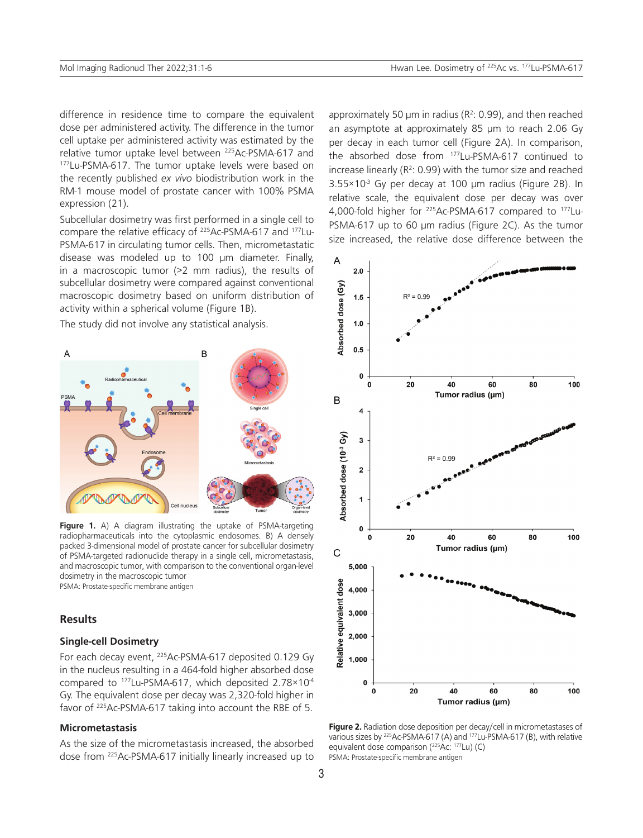difference in residence time to compare the equivalent dose per administered activity. The difference in the tumor cell uptake per administered activity was estimated by the relative tumor uptake level between <sup>225</sup>Ac-PSMA-617 and<br><sup>177</sup>Lu-PSMA-617. The tumor uptake levels were based on the recently published *ex vivo* biodistribution work in the RM-1 mouse model of prostate cancer with 100% PSMA expression (21).

Subcellular dosimetry was first performed in a single cell to compare the relative efficacy of 225Ac-PSMA-617 and 177Lu-PSMA-617 in circulating tumor cells. Then, micrometastatic disease was modeled up to 100 µm diameter. Finally, in a macroscopic tumor (>2 mm radius), the results of subcellular dosimetry were compared against conventional macroscopic dosimetry based on uniform distribution of activity within a spherical volume (Figure 1B).

The study did not involve any statistical analysis.



**Figure 1.** A) A diagram illustrating the uptake of PSMA-targeting radiopharmaceuticals into the cytoplasmic endosomes. B) A densely packed 3-dimensional model of prostate cancer for subcellular dosimetry of PSMA-targeted radionuclide therapy in a single cell, micrometastasis, and macroscopic tumor, with comparison to the conventional organ-level dosimetry in the macroscopic tumor PSMA: Prostate-specific membrane antigen

## **Results**

## **Single-cell Dosimetry**

For each decay event, 225Ac-PSMA-617 deposited 0.129 Gy in the nucleus resulting in a 464-fold higher absorbed dose compared to <sup>177</sup>Lu-PSMA-617, which deposited 2.78×10<sup>4</sup> Gy. The equivalent dose per decay was 2,320-fold higher in favor of 225Ac-PSMA-617 taking into account the RBE of 5.

## **Micrometastasis**

As the size of the micrometastasis increased, the absorbed dose from 225Ac-PSMA-617 initially linearly increased up to

approximately 50  $\mu$ m in radius (R<sup>2</sup>: 0.99), and then reached an asymptote at approximately 85 µm to reach 2.06 Gy per decay in each tumor cell (Figure 2A). In comparison, the absorbed dose from 177Lu-PSMA-617 continued to increase linearly ( $R^2$ : 0.99) with the tumor size and reached  $3.55 \times 10^{3}$  Gy per decay at 100 µm radius (Figure 2B). In relative scale, the equivalent dose per decay was over 4,000-fold higher for 225Ac-PSMA-617 compared to 177Lu-PSMA-617 up to 60 µm radius (Figure 2C). As the tumor size increased, the relative dose difference between the



**Figure 2.** Radiation dose deposition per decay/cell in micrometastases of various sizes by <sup>225</sup>Ac-PSMA-617 (A) and 177Lu-PSMA-617 (B), with relative equivalent dose comparison (<sup>225</sup>Ac: 177Lu) (C) PSMA: Prostate-specific membrane antigen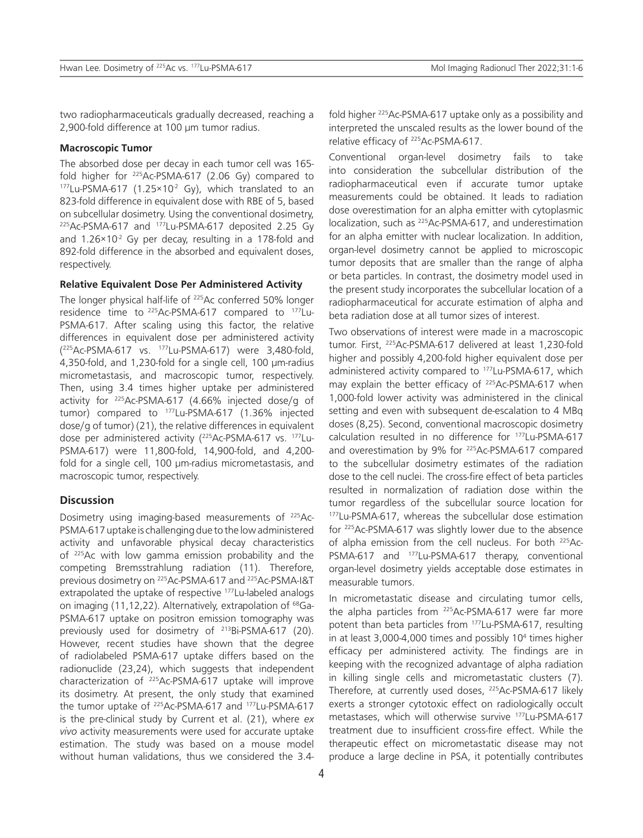two radiopharmaceuticals gradually decreased, reaching a 2,900-fold difference at 100 µm tumor radius.

## **Macroscopic Tumor**

The absorbed dose per decay in each tumor cell was 165 fold higher for  $^{225}$ Ac-PSMA-617 (2.06 Gy) compared to 177Lu-PSMA-617 (1.25×10<sup>-2</sup> Gy), which translated to an 823-fold difference in equivalent dose with RBE of 5, based on subcellular dosimetry. Using the conventional dosimetry, <sup>225</sup>Ac-PSMA-617 and <sup>177</sup>Lu-PSMA-617 deposited 2.25 Gy and  $1.26 \times 10^{-2}$  Gy per decay, resulting in a 178-fold and 892-fold difference in the absorbed and equivalent doses, respectively.

## **Relative Equivalent Dose Per Administered Activity**

The longer physical half-life of <sup>225</sup>Ac conferred 50% longer residence time to <sup>225</sup>Ac-PSMA-617 compared to <sup>177</sup>Lu-PSMA-617. After scaling using this factor, the relative differences in equivalent dose per administered activity ( <sup>225</sup>Ac-PSMA-617 vs. 177Lu-PSMA-617) were 3,480-fold, 4,350-fold, and 1,230-fold for a single cell, 100 µm-radius micrometastasis, and macroscopic tumor, respectively. Then, using 3.4 times higher uptake per administered activity for 225Ac-PSMA-617 (4.66% injected dose/g of tumor) compared to <sup>177</sup>Lu-PSMA-617 (1.36% injected dose/g of tumor) (21), the relative differences in equivalent dose per administered activity (<sup>225</sup>Ac-PSMA-617 vs. <sup>177</sup>Lu-PSMA-617) were 11,800-fold, 14,900-fold, and 4,200 fold for a single cell, 100 µm-radius micrometastasis, and macroscopic tumor, respectively.

## **Discussion**

Dosimetry using imaging-based measurements of 225Ac-PSMA-617 uptake is challenging due to the low administered activity and unfavorable physical decay characteristics of 225Ac with low gamma emission probability and the competing Bremsstrahlung radiation (11). Therefore, previous dosimetry on 225Ac-PSMA-617 and 225Ac-PSMA-I&T extrapolated the uptake of respective <sup>177</sup>Lu-labeled analogs on imaging (11,12,22). Alternatively, extrapolation of <sup>68</sup>Ga-PSMA-617 uptake on positron emission tomography was previously used for dosimetry of 213Bi-PSMA-617 (20). However, recent studies have shown that the degree of radiolabeled PSMA-617 uptake differs based on the radionuclide (23,24), which suggests that independent characterization of 225Ac-PSMA-617 uptake will improve its dosimetry. At present, the only study that examined the tumor uptake of <sup>225</sup>Ac-PSMA-617 and <sup>177</sup>Lu-PSMA-617 is the pre-clinical study by Current et al. (21), where *ex vivo* activity measurements were used for accurate uptake estimation. The study was based on a mouse model without human validations, thus we considered the 3.4-

fold higher 225Ac-PSMA-617 uptake only as a possibility and interpreted the unscaled results as the lower bound of the relative efficacy of 225Ac-PSMA-617.

Conventional organ-level dosimetry fails to take into consideration the subcellular distribution of the radiopharmaceutical even if accurate tumor uptake measurements could be obtained. It leads to radiation dose overestimation for an alpha emitter with cytoplasmic localization, such as 225Ac-PSMA-617, and underestimation for an alpha emitter with nuclear localization. In addition, organ-level dosimetry cannot be applied to microscopic tumor deposits that are smaller than the range of alpha or beta particles. In contrast, the dosimetry model used in the present study incorporates the subcellular location of a radiopharmaceutical for accurate estimation of alpha and beta radiation dose at all tumor sizes of interest.

Two observations of interest were made in a macroscopic tumor. First, 225Ac-PSMA-617 delivered at least 1,230-fold higher and possibly 4,200-fold higher equivalent dose per administered activity compared to <sup>177</sup>Lu-PSMA-617, which may explain the better efficacy of <sup>225</sup>Ac-PSMA-617 when 1,000-fold lower activity was administered in the clinical setting and even with subsequent de-escalation to 4 MBq doses (8,25). Second, conventional macroscopic dosimetry calculation resulted in no difference for 177Lu-PSMA-617 and overestimation by 9% for 225Ac-PSMA-617 compared to the subcellular dosimetry estimates of the radiation dose to the cell nuclei. The cross-fire effect of beta particles resulted in normalization of radiation dose within the tumor regardless of the subcellular source location for 177Lu-PSMA-617, whereas the subcellular dose estimation for 225Ac-PSMA-617 was slightly lower due to the absence of alpha emission from the cell nucleus. For both 225Ac-PSMA-617 and <sup>177</sup>Lu-PSMA-617 therapy, conventional organ-level dosimetry yields acceptable dose estimates in measurable tumors.

In micrometastatic disease and circulating tumor cells, the alpha particles from <sup>225</sup>Ac-PSMA-617 were far more potent than beta particles from 177Lu-PSMA-617, resulting in at least 3,000-4,000 times and possibly 10<sup>4</sup> times higher efficacy per administered activity. The findings are in keeping with the recognized advantage of alpha radiation in killing single cells and micrometastatic clusters (7). Therefore, at currently used doses, 225Ac-PSMA-617 likely exerts a stronger cytotoxic effect on radiologically occult metastases, which will otherwise survive 177Lu-PSMA-617 treatment due to insufficient cross-fire effect. While the therapeutic effect on micrometastatic disease may not produce a large decline in PSA, it potentially contributes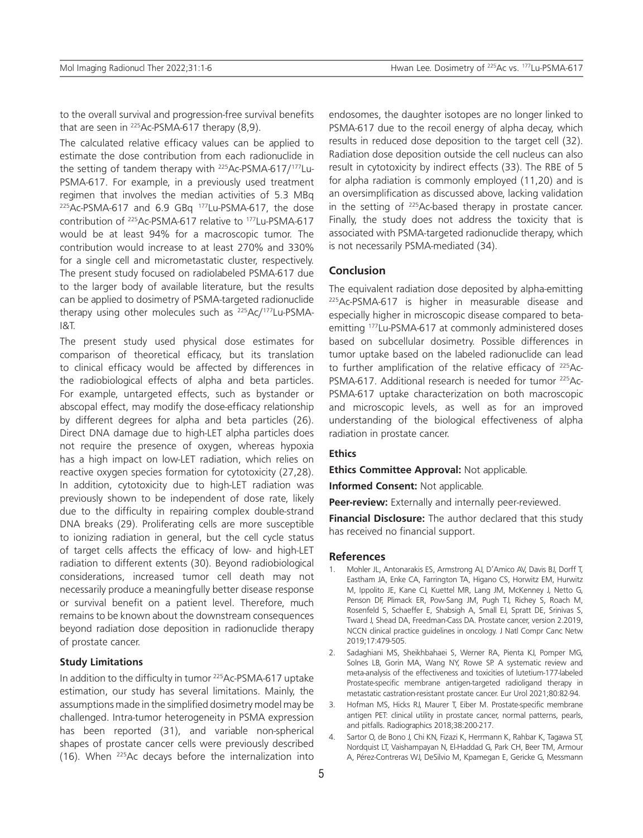to the overall survival and progression-free survival benefits that are seen in  $225$ Ac-PSMA-617 therapy  $(8,9)$ .

The calculated relative efficacy values can be applied to estimate the dose contribution from each radionuclide in the setting of tandem therapy with  $225$ Ac-PSMA-617/<sup>177</sup>Lu-PSMA-617. For example, in a previously used treatment regimen that involves the median activities of 5.3 MBq <sup>225</sup>Ac-PSMA-617 and 6.9 GBq <sup>177</sup>Lu-PSMA-617, the dose contribution of 225Ac-PSMA-617 relative to 177Lu-PSMA-617 would be at least 94% for a macroscopic tumor. The contribution would increase to at least 270% and 330% for a single cell and micrometastatic cluster, respectively. The present study focused on radiolabeled PSMA-617 due to the larger body of available literature, but the results can be applied to dosimetry of PSMA-targeted radionuclide therapy using other molecules such as <sup>225</sup>Ac/<sup>177</sup>Lu-PSMA-I&T.

The present study used physical dose estimates for comparison of theoretical efficacy, but its translation to clinical efficacy would be affected by differences in the radiobiological effects of alpha and beta particles. For example, untargeted effects, such as bystander or abscopal effect, may modify the dose-efficacy relationship by different degrees for alpha and beta particles (26). Direct DNA damage due to high-LET alpha particles does not require the presence of oxygen, whereas hypoxia has a high impact on low-LET radiation, which relies on reactive oxygen species formation for cytotoxicity (27,28). In addition, cytotoxicity due to high-LET radiation was previously shown to be independent of dose rate, likely due to the difficulty in repairing complex double-strand DNA breaks (29). Proliferating cells are more susceptible to ionizing radiation in general, but the cell cycle status of target cells affects the efficacy of low- and high-LET radiation to different extents (30). Beyond radiobiological considerations, increased tumor cell death may not necessarily produce a meaningfully better disease response or survival benefit on a patient level. Therefore, much remains to be known about the downstream consequences beyond radiation dose deposition in radionuclide therapy of prostate cancer.

## **Study Limitations**

In addition to the difficulty in tumor <sup>225</sup>Ac-PSMA-617 uptake estimation, our study has several limitations. Mainly, the assumptions made in the simplified dosimetry model may be challenged. Intra-tumor heterogeneity in PSMA expression has been reported (31), and variable non-spherical shapes of prostate cancer cells were previously described (16). When 225Ac decays before the internalization into

endosomes, the daughter isotopes are no longer linked to PSMA-617 due to the recoil energy of alpha decay, which results in reduced dose deposition to the target cell (32). Radiation dose deposition outside the cell nucleus can also result in cytotoxicity by indirect effects (33). The RBE of 5 for alpha radiation is commonly employed (11,20) and is an oversimplification as discussed above, lacking validation in the setting of 225Ac-based therapy in prostate cancer. Finally, the study does not address the toxicity that is associated with PSMA-targeted radionuclide therapy, which is not necessarily PSMA-mediated (34).

## **Conclusion**

The equivalent radiation dose deposited by alpha-emitting <sup>225</sup>Ac-PSMA-617 is higher in measurable disease and especially higher in microscopic disease compared to betaemitting 177Lu-PSMA-617 at commonly administered doses based on subcellular dosimetry. Possible differences in tumor uptake based on the labeled radionuclide can lead to further amplification of the relative efficacy of 225Ac-PSMA-617. Additional research is needed for tumor <sup>225</sup>Ac-PSMA-617 uptake characterization on both macroscopic and microscopic levels, as well as for an improved understanding of the biological effectiveness of alpha radiation in prostate cancer.

## **Ethics**

**Ethics Committee Approval:** Not applicable.

**Informed Consent:** Not applicable.

**Peer-review:** Externally and internally peer-reviewed.

**Financial Disclosure:** The author declared that this study has received no financial support.

#### **References**

- 1. Mohler JL, Antonarakis ES, Armstrong AJ, D'Amico AV, Davis BJ, Dorff T, Eastham JA, Enke CA, Farrington TA, Higano CS, Horwitz EM, Hurwitz M, Ippolito JE, Kane CJ, Kuettel MR, Lang JM, McKenney J, Netto G, Penson DF, Plimack ER, Pow-Sang JM, Pugh TJ, Richey S, Roach M, Rosenfeld S, Schaeffer E, Shabsigh A, Small EJ, Spratt DE, Srinivas S, Tward J, Shead DA, Freedman-Cass DA. Prostate cancer, version 2.2019, NCCN clinical practice guidelines in oncology. J Natl Compr Canc Netw 2019;17:479-505.
- 2. Sadaghiani MS, Sheikhbahaei S, Werner RA, Pienta KJ, Pomper MG, Solnes LB, Gorin MA, Wang NY, Rowe SP. A systematic review and meta-analysis of the effectiveness and toxicities of lutetium-177-labeled Prostate-specific membrane antigen-targeted radioligand therapy in metastatic castration-resistant prostate cancer. Eur Urol 2021;80:82-94.
- 3. Hofman MS, Hicks RJ, Maurer T, Eiber M. Prostate-specific membrane antigen PET: clinical utility in prostate cancer, normal patterns, pearls, and pitfalls. Radiographics 2018;38:200-217.
- 4. Sartor O, de Bono J, Chi KN, Fizazi K, Herrmann K, Rahbar K, Tagawa ST, Nordquist LT, Vaishampayan N, El-Haddad G, Park CH, Beer TM, Armour A, Pérez-Contreras WJ, DeSilvio M, Kpamegan E, Gericke G, Messmann